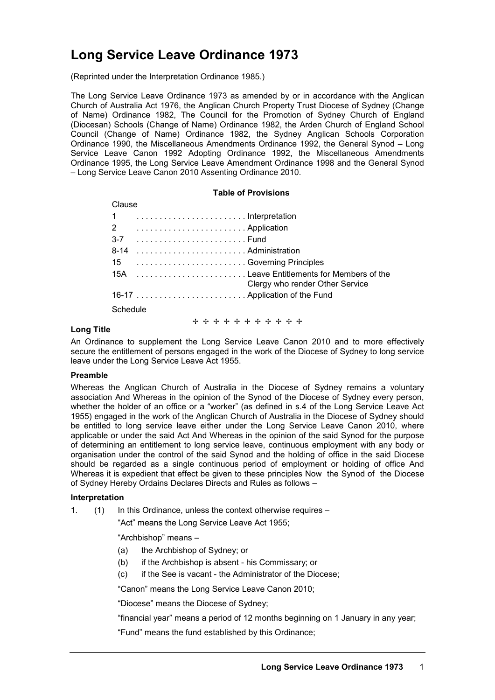# **Long Service Leave Ordinance 1973**

(Reprinted under the Interpretation Ordinance 1985.)

The Long Service Leave Ordinance 1973 as amended by or in accordance with the Anglican Church of Australia Act 1976, the Anglican Church Property Trust Diocese of Sydney (Change of Name) Ordinance 1982, The Council for the Promotion of Sydney Church of England (Diocesan) Schools (Change of Name) Ordinance 1982, the Arden Church of England School Council (Change of Name) Ordinance 1982, the Sydney Anglican Schools Corporation Ordinance 1990, the Miscellaneous Amendments Ordinance 1992, the General Synod – Long Service Leave Canon 1992 Adopting Ordinance 1992, the Miscellaneous Amendments Ordinance 1995, the Long Service Leave Amendment Ordinance 1998 and the General Synod – Long Service Leave Canon 2010 Assenting Ordinance 2010.

## **Table of Provisions**

| Clause                                    |                                 |
|-------------------------------------------|---------------------------------|
| $\mathbf{1}$                              |                                 |
| 2                                         |                                 |
|                                           |                                 |
| $8 - 14$                                  |                                 |
| 15  Governing Principles                  |                                 |
| 15A Leave Entitlements for Members of the | Clergy who render Other Service |
|                                           |                                 |
| Schedule                                  |                                 |
| + + + + + + + + + + +                     |                                 |

## **Long Title**

An Ordinance to supplement the Long Service Leave Canon 2010 and to more effectively secure the entitlement of persons engaged in the work of the Diocese of Sydney to long service leave under the Long Service Leave Act 1955.

# **Preamble**

Whereas the Anglican Church of Australia in the Diocese of Sydney remains a voluntary association And Whereas in the opinion of the Synod of the Diocese of Sydney every person, whether the holder of an office or a "worker" (as defined in s.4 of the Long Service Leave Act 1955) engaged in the work of the Anglican Church of Australia in the Diocese of Sydney should be entitled to long service leave either under the Long Service Leave Canon 2010, where applicable or under the said Act And Whereas in the opinion of the said Synod for the purpose of determining an entitlement to long service leave, continuous employment with any body or organisation under the control of the said Synod and the holding of office in the said Diocese should be regarded as a single continuous period of employment or holding of office And Whereas it is expedient that effect be given to these principles Now the Synod of the Diocese of Sydney Hereby Ordains Declares Directs and Rules as follows –

# **Interpretation**

1. (1) In this Ordinance, unless the context otherwise requires –

"Act" means the Long Service Leave Act 1955;

"Archbishop" means –

- (a) the Archbishop of Sydney; or
- (b) if the Archbishop is absent his Commissary; or
- (c) if the See is vacant the Administrator of the Diocese;

"Canon" means the Long Service Leave Canon 2010;

"Diocese" means the Diocese of Sydney;

"financial year" means a period of 12 months beginning on 1 January in any year;

"Fund" means the fund established by this Ordinance;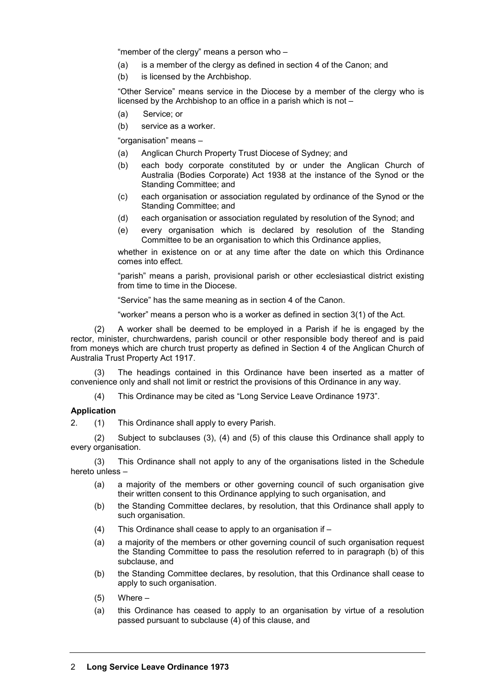"member of the clergy" means a person who –

- (a) is a member of the clergy as defined in section 4 of the Canon; and
- (b) is licensed by the Archbishop.

"Other Service" means service in the Diocese by a member of the clergy who is licensed by the Archbishop to an office in a parish which is not –

- (a) Service; or
- (b) service as a worker.

"organisation" means –

- (a) Anglican Church Property Trust Diocese of Sydney; and
- (b) each body corporate constituted by or under the Anglican Church of Australia (Bodies Corporate) Act 1938 at the instance of the Synod or the Standing Committee; and
- (c) each organisation or association regulated by ordinance of the Synod or the Standing Committee; and
- (d) each organisation or association regulated by resolution of the Synod; and
- (e) every organisation which is declared by resolution of the Standing Committee to be an organisation to which this Ordinance applies,

whether in existence on or at any time after the date on which this Ordinance comes into effect.

"parish" means a parish, provisional parish or other ecclesiastical district existing from time to time in the Diocese.

"Service" has the same meaning as in section 4 of the Canon.

"worker" means a person who is a worker as defined in section 3(1) of the Act.

(2) A worker shall be deemed to be employed in a Parish if he is engaged by the rector, minister, churchwardens, parish council or other responsible body thereof and is paid from moneys which are church trust property as defined in Section 4 of the Anglican Church of Australia Trust Property Act 1917.

(3) The headings contained in this Ordinance have been inserted as a matter of convenience only and shall not limit or restrict the provisions of this Ordinance in any way.

(4) This Ordinance may be cited as "Long Service Leave Ordinance 1973".

## **Application**

2. (1) This Ordinance shall apply to every Parish.

(2) Subject to subclauses (3), (4) and (5) of this clause this Ordinance shall apply to every organisation.

(3) This Ordinance shall not apply to any of the organisations listed in the Schedule hereto unless –

- (a) a majority of the members or other governing council of such organisation give their written consent to this Ordinance applying to such organisation, and
- (b) the Standing Committee declares, by resolution, that this Ordinance shall apply to such organisation.
- (4) This Ordinance shall cease to apply to an organisation if –
- (a) a majority of the members or other governing council of such organisation request the Standing Committee to pass the resolution referred to in paragraph (b) of this subclause, and
- (b) the Standing Committee declares, by resolution, that this Ordinance shall cease to apply to such organisation.
- (5) Where –
- (a) this Ordinance has ceased to apply to an organisation by virtue of a resolution passed pursuant to subclause (4) of this clause, and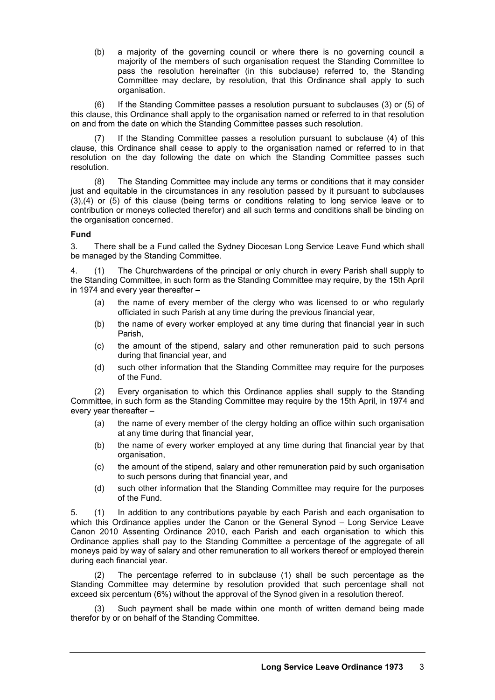(b) a majority of the governing council or where there is no governing council a majority of the members of such organisation request the Standing Committee to pass the resolution hereinafter (in this subclause) referred to, the Standing Committee may declare, by resolution, that this Ordinance shall apply to such organisation.

(6) If the Standing Committee passes a resolution pursuant to subclauses (3) or (5) of this clause, this Ordinance shall apply to the organisation named or referred to in that resolution on and from the date on which the Standing Committee passes such resolution.

(7) If the Standing Committee passes a resolution pursuant to subclause (4) of this clause, this Ordinance shall cease to apply to the organisation named or referred to in that resolution on the day following the date on which the Standing Committee passes such resolution.

(8) The Standing Committee may include any terms or conditions that it may consider just and equitable in the circumstances in any resolution passed by it pursuant to subclauses (3),(4) or (5) of this clause (being terms or conditions relating to long service leave or to contribution or moneys collected therefor) and all such terms and conditions shall be binding on the organisation concerned.

## **Fund**

3. There shall be a Fund called the Sydney Diocesan Long Service Leave Fund which shall be managed by the Standing Committee.

4. (1) The Churchwardens of the principal or only church in every Parish shall supply to the Standing Committee, in such form as the Standing Committee may require, by the 15th April in 1974 and every year thereafter –

- (a) the name of every member of the clergy who was licensed to or who regularly officiated in such Parish at any time during the previous financial year,
- (b) the name of every worker employed at any time during that financial year in such Parish,
- (c) the amount of the stipend, salary and other remuneration paid to such persons during that financial year, and
- (d) such other information that the Standing Committee may require for the purposes of the Fund.

(2) Every organisation to which this Ordinance applies shall supply to the Standing Committee, in such form as the Standing Committee may require by the 15th April, in 1974 and every year thereafter –

- (a) the name of every member of the clergy holding an office within such organisation at any time during that financial year,
- (b) the name of every worker employed at any time during that financial year by that organisation,
- (c) the amount of the stipend, salary and other remuneration paid by such organisation to such persons during that financial year, and
- (d) such other information that the Standing Committee may require for the purposes of the Fund.

5. (1) In addition to any contributions payable by each Parish and each organisation to which this Ordinance applies under the Canon or the General Synod – Long Service Leave Canon 2010 Assenting Ordinance 2010, each Parish and each organisation to which this Ordinance applies shall pay to the Standing Committee a percentage of the aggregate of all moneys paid by way of salary and other remuneration to all workers thereof or employed therein during each financial year.

(2) The percentage referred to in subclause (1) shall be such percentage as the Standing Committee may determine by resolution provided that such percentage shall not exceed six percentum (6%) without the approval of the Synod given in a resolution thereof.

Such payment shall be made within one month of written demand being made therefor by or on behalf of the Standing Committee.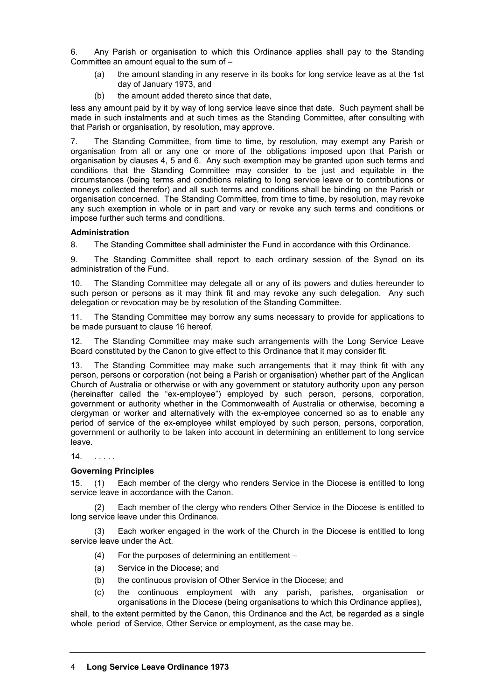6. Any Parish or organisation to which this Ordinance applies shall pay to the Standing Committee an amount equal to the sum of  $-$ 

- (a) the amount standing in any reserve in its books for long service leave as at the 1st day of January 1973, and
- (b) the amount added thereto since that date,

less any amount paid by it by way of long service leave since that date. Such payment shall be made in such instalments and at such times as the Standing Committee, after consulting with that Parish or organisation, by resolution, may approve.

7. The Standing Committee, from time to time, by resolution, may exempt any Parish or organisation from all or any one or more of the obligations imposed upon that Parish or organisation by clauses 4, 5 and 6. Any such exemption may be granted upon such terms and conditions that the Standing Committee may consider to be just and equitable in the circumstances (being terms and conditions relating to long service leave or to contributions or moneys collected therefor) and all such terms and conditions shall be binding on the Parish or organisation concerned. The Standing Committee, from time to time, by resolution, may revoke any such exemption in whole or in part and vary or revoke any such terms and conditions or impose further such terms and conditions.

# **Administration**

8. The Standing Committee shall administer the Fund in accordance with this Ordinance.

9. The Standing Committee shall report to each ordinary session of the Synod on its administration of the Fund.

10. The Standing Committee may delegate all or any of its powers and duties hereunder to such person or persons as it may think fit and may revoke any such delegation. Any such delegation or revocation may be by resolution of the Standing Committee.

11. The Standing Committee may borrow any sums necessary to provide for applications to be made pursuant to clause 16 hereof.

12. The Standing Committee may make such arrangements with the Long Service Leave Board constituted by the Canon to give effect to this Ordinance that it may consider fit.

13. The Standing Committee may make such arrangements that it may think fit with any person, persons or corporation (not being a Parish or organisation) whether part of the Anglican Church of Australia or otherwise or with any government or statutory authority upon any person (hereinafter called the "ex-employee") employed by such person, persons, corporation, government or authority whether in the Commonwealth of Australia or otherwise, becoming a clergyman or worker and alternatively with the ex-employee concerned so as to enable any period of service of the ex-employee whilst employed by such person, persons, corporation, government or authority to be taken into account in determining an entitlement to long service leave.

14. . . . . .

# **Governing Principles**

15. (1) Each member of the clergy who renders Service in the Diocese is entitled to long service leave in accordance with the Canon.

(2) Each member of the clergy who renders Other Service in the Diocese is entitled to long service leave under this Ordinance.

(3) Each worker engaged in the work of the Church in the Diocese is entitled to long service leave under the Act.

- (4) For the purposes of determining an entitlement –
- (a) Service in the Diocese; and
- (b) the continuous provision of Other Service in the Diocese; and
- (c) the continuous employment with any parish, parishes, organisation or organisations in the Diocese (being organisations to which this Ordinance applies),

shall, to the extent permitted by the Canon, this Ordinance and the Act, be regarded as a single whole period of Service, Other Service or employment, as the case may be.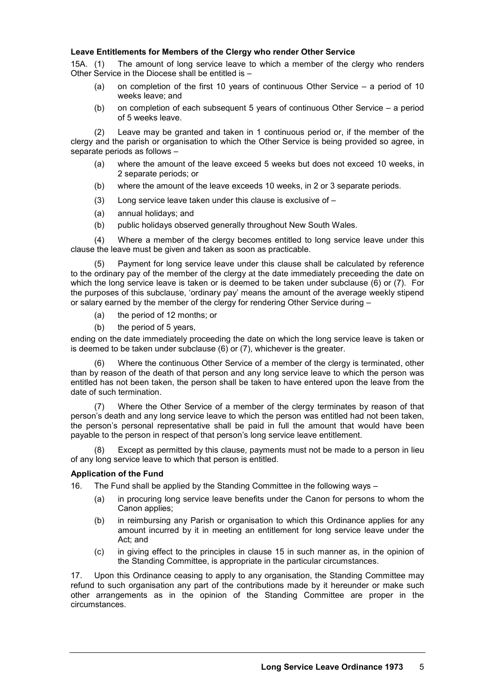## **Leave Entitlements for Members of the Clergy who render Other Service**

15A. (1) The amount of long service leave to which a member of the clergy who renders Other Service in the Diocese shall be entitled is –

- (a) on completion of the first 10 years of continuous Other Service a period of 10 weeks leave; and
- (b) on completion of each subsequent 5 years of continuous Other Service a period of 5 weeks leave.

(2) Leave may be granted and taken in 1 continuous period or, if the member of the clergy and the parish or organisation to which the Other Service is being provided so agree, in separate periods as follows –

- (a) where the amount of the leave exceed 5 weeks but does not exceed 10 weeks, in 2 separate periods; or
- (b) where the amount of the leave exceeds 10 weeks, in 2 or 3 separate periods.
- (3) Long service leave taken under this clause is exclusive of –
- (a) annual holidays; and
- (b) public holidays observed generally throughout New South Wales.

(4) Where a member of the clergy becomes entitled to long service leave under this clause the leave must be given and taken as soon as practicable.

(5) Payment for long service leave under this clause shall be calculated by reference to the ordinary pay of the member of the clergy at the date immediately preceeding the date on which the long service leave is taken or is deemed to be taken under subclause (6) or (7). For the purposes of this subclause, 'ordinary pay' means the amount of the average weekly stipend or salary earned by the member of the clergy for rendering Other Service during –

- (a) the period of 12 months; or
- (b) the period of 5 years,

ending on the date immediately proceeding the date on which the long service leave is taken or is deemed to be taken under subclause  $(6)$  or  $(7)$ , whichever is the greater.

(6) Where the continuous Other Service of a member of the clergy is terminated, other than by reason of the death of that person and any long service leave to which the person was entitled has not been taken, the person shall be taken to have entered upon the leave from the date of such termination.

(7) Where the Other Service of a member of the clergy terminates by reason of that person's death and any long service leave to which the person was entitled had not been taken, the person's personal representative shall be paid in full the amount that would have been payable to the person in respect of that person's long service leave entitlement.

(8) Except as permitted by this clause, payments must not be made to a person in lieu of any long service leave to which that person is entitled.

## **Application of the Fund**

16. The Fund shall be applied by the Standing Committee in the following ways –

- (a) in procuring long service leave benefits under the Canon for persons to whom the Canon applies;
- (b) in reimbursing any Parish or organisation to which this Ordinance applies for any amount incurred by it in meeting an entitlement for long service leave under the Act; and
- (c) in giving effect to the principles in clause 15 in such manner as, in the opinion of the Standing Committee, is appropriate in the particular circumstances.

17. Upon this Ordinance ceasing to apply to any organisation, the Standing Committee may refund to such organisation any part of the contributions made by it hereunder or make such other arrangements as in the opinion of the Standing Committee are proper in the circumstances.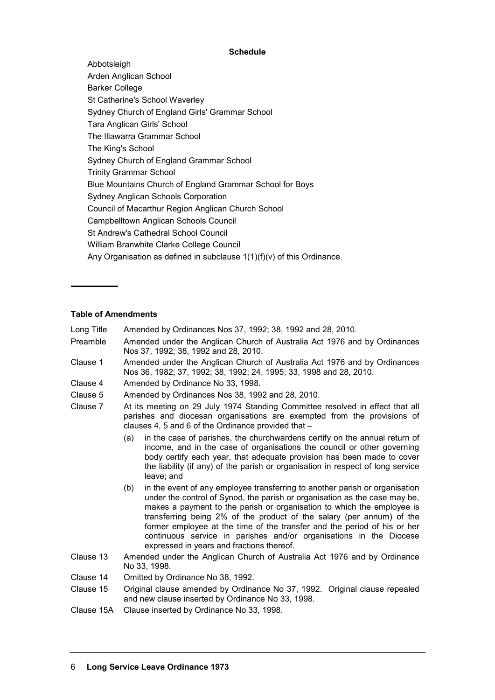## **Schedule**

Abbotsleigh Arden Anglican School Barker College St Catherine's School Waverley Sydney Church of England Girls' Grammar School Tara Anglican Girls' School The Illawarra Grammar School The King's School Sydney Church of England Grammar School Trinity Grammar School Blue Mountains Church of England Grammar School for Boys Sydney Anglican Schools Corporation Council of Macarthur Region Anglican Church School Campbelltown Anglican Schools Council St Andrew's Cathedral School Council William Branwhite Clarke College Council Any Organisation as defined in subclause  $1(1)(f)(v)$  of this Ordinance.

## **Table of Amendments**

- Long Title Amended by Ordinances Nos 37, 1992; 38, 1992 and 28, 2010.
- Preamble Amended under the Anglican Church of Australia Act 1976 and by Ordinances Nos 37, 1992; 38, 1992 and 28, 2010.
- Clause 1 Amended under the Anglican Church of Australia Act 1976 and by Ordinances Nos 36, 1982; 37, 1992; 38, 1992; 24, 1995; 33, 1998 and 28, 2010.
- Clause 4 Amended by Ordinance No 33, 1998.
- Clause 5 Amended by Ordinances Nos 38, 1992 and 28, 2010.
- Clause 7 At its meeting on 29 July 1974 Standing Committee resolved in effect that all parishes and diocesan organisations are exempted from the provisions of clauses 4, 5 and 6 of the Ordinance provided that –
	- (a) in the case of parishes, the churchwardens certify on the annual return of income, and in the case of organisations the council or other governing body certify each year, that adequate provision has been made to cover the liability (if any) of the parish or organisation in respect of long service leave; and
	- (b) in the event of any employee transferring to another parish or organisation under the control of Synod, the parish or organisation as the case may be, makes a payment to the parish or organisation to which the employee is transferring being 2% of the product of the salary (per annum) of the former employee at the time of the transfer and the period of his or her continuous service in parishes and/or organisations in the Diocese expressed in years and fractions thereof.
- Clause 13 Amended under the Anglican Church of Australia Act 1976 and by Ordinance No 33, 1998.
- Clause 14 Omitted by Ordinance No 38, 1992.
- Clause 15 Original clause amended by Ordinance No 37, 1992. Original clause repealed and new clause inserted by Ordinance No 33, 1998.
- Clause 15A Clause inserted by Ordinance No 33, 1998.